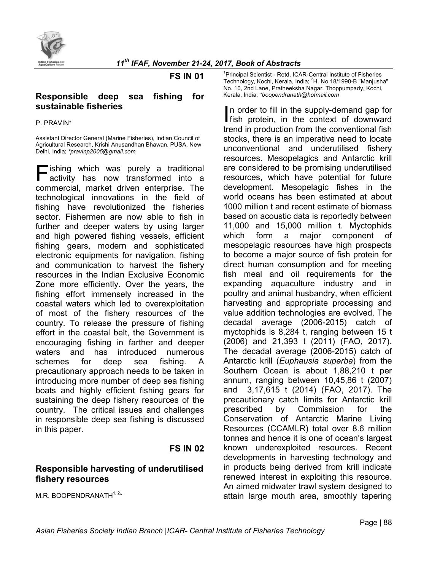

#### **FS IN 01**

### **Responsible deep sea fishing for sustainable fisheries**

#### P. PRAVIN\*

Assistant Director General (Marine Fisheries), Indian Council of Agricultural Research, Krishi Anusandhan Bhawan, PUSA, New Delhi, India; *\*pravinp2005@gmail.com*

ishing which was purely a traditional activity has now transformed into a **Fishing which was purely a traditional activity has now transformed into a commercial, market driven enterprise. The** technological innovations in the field of fishing have revolutionized the fisheries sector. Fishermen are now able to fish in further and deeper waters by using larger and high powered fishing vessels, efficient fishing gears, modern and sophisticated electronic equipments for navigation, fishing and communication to harvest the fishery resources in the Indian Exclusive Economic Zone more efficiently. Over the years, the fishing effort immensely increased in the coastal waters which led to overexploitation of most of the fishery resources of the country. To release the pressure of fishing effort in the coastal belt, the Government is encouraging fishing in farther and deeper waters and has introduced numerous schemes for deep sea fishing. A precautionary approach needs to be taken in introducing more number of deep sea fishing boats and highly efficient fishing gears for sustaining the deep fishery resources of the country. The critical issues and challenges in responsible deep sea fishing is discussed in this paper.

## **FS IN 02**

## **Responsible harvesting of underutilised fishery resources**

M.R. BOOPENDRANATH $^{1, 2*}$ 

<sup>1</sup> Principal Scientist - Retd. ICAR-Central Institute of Fisheries Technology, Kochi, Kerala, India; <sup>2</sup>H. No.18/1990-B "Manjusha" No. 10, 2nd Lane, Pratheeksha Nagar, Thoppumpady, Kochi, Kerala, India; *\*boopendranath@hotmail.com* 

n order to fill in the supply-demand gap for In order to fill in the supply-demand gap for<br>
fish protein, in the context of downward<br>
Internal in anodustion from the conventional fish trend in production from the conventional fish stocks, there is an imperative need to locate unconventional and underutilised fishery resources. Mesopelagics and Antarctic krill are considered to be promising underutilised resources, which have potential for future development. Mesopelagic fishes in the world oceans has been estimated at about 1000 million t and recent estimate of biomass based on acoustic data is reportedly between 11,000 and 15,000 million t. Myctophids which form a major component of mesopelagic resources have high prospects to become a major source of fish protein for direct human consumption and for meeting fish meal and oil requirements for the expanding aquaculture industry and in poultry and animal husbandry, when efficient harvesting and appropriate processing and value addition technologies are evolved. The decadal average (2006-2015) catch of myctophids is 8,284 t, ranging between 15 t (2006) and 21,393 t (2011) (FAO, 2017). The decadal average (2006-2015) catch of Antarctic krill (*Euphausia superba*) from the Southern Ocean is about 1,88,210 t per annum, ranging between 10,45,86 t (2007) and 3,17,615 t (2014) (FAO, 2017). The precautionary catch limits for Antarctic krill prescribed by Commission for the Conservation of Antarctic Marine Living Resources (CCAMLR) total over 8.6 million tonnes and hence it is one of ocean's largest known underexploited resources. Recent developments in harvesting technology and in products being derived from krill indicate renewed interest in exploiting this resource. An aimed midwater trawl system designed to attain large mouth area, smoothly tapering